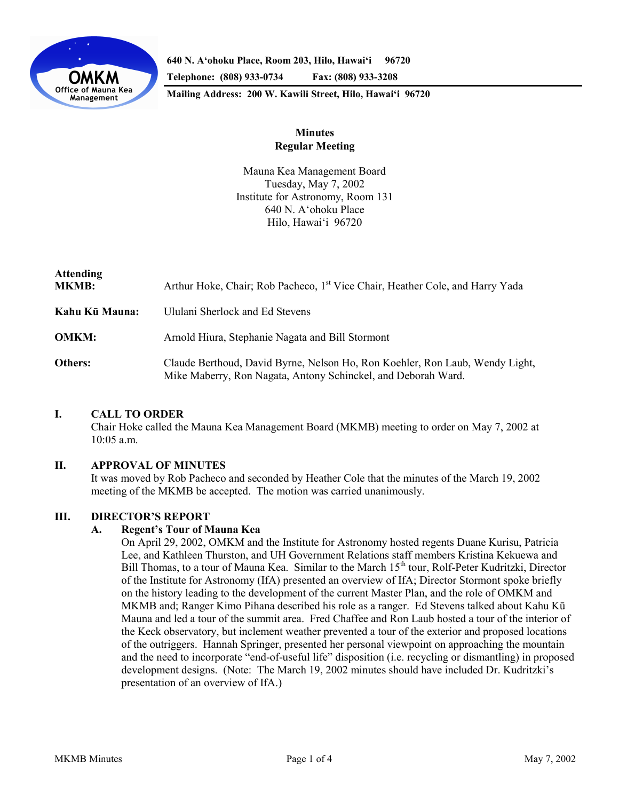

**640 N. A'ohoku Place, Room 203, Hilo, Hawai'i 96720** 

**Telephone: (808) 933-0734 Fax: (808) 933-3208** 

**Mailing Address: 200 W. Kawili Street, Hilo, Hawai'i 96720** 

# **Minutes Regular Meeting**

Mauna Kea Management Board Tuesday, May 7, 2002 Institute for Astronomy, Room 131 640 N. A'ohoku Place Hilo, Hawai'i 96720

| <b>Attending</b><br><b>MKMB:</b> | Arthur Hoke, Chair; Rob Pacheco, 1 <sup>st</sup> Vice Chair, Heather Cole, and Harry Yada                                                     |
|----------------------------------|-----------------------------------------------------------------------------------------------------------------------------------------------|
| Kahu Kū Mauna:                   | Ululani Sherlock and Ed Stevens                                                                                                               |
| <b>OMKM:</b>                     | Arnold Hiura, Stephanie Nagata and Bill Stormont                                                                                              |
| Others:                          | Claude Berthoud, David Byrne, Nelson Ho, Ron Koehler, Ron Laub, Wendy Light,<br>Mike Maberry, Ron Nagata, Antony Schinckel, and Deborah Ward. |

# **I. CALL TO ORDER**

 Chair Hoke called the Mauna Kea Management Board (MKMB) meeting to order on May 7, 2002 at 10:05 a.m.

## **II. APPROVAL OF MINUTES**

It was moved by Rob Pacheco and seconded by Heather Cole that the minutes of the March 19, 2002 meeting of the MKMB be accepted. The motion was carried unanimously.

# **III. DIRECTOR'S REPORT**

## **A. Regent's Tour of Mauna Kea**

 On April 29, 2002, OMKM and the Institute for Astronomy hosted regents Duane Kurisu, Patricia Lee, and Kathleen Thurston, and UH Government Relations staff members Kristina Kekuewa and Bill Thomas, to a tour of Mauna Kea. Similar to the March 15<sup>th</sup> tour, Rolf-Peter Kudritzki, Director of the Institute for Astronomy (IfA) presented an overview of IfA; Director Stormont spoke briefly on the history leading to the development of the current Master Plan, and the role of OMKM and MKMB and; Ranger Kimo Pihana described his role as a ranger. Ed Stevens talked about Kahu Kū Mauna and led a tour of the summit area. Fred Chaffee and Ron Laub hosted a tour of the interior of the Keck observatory, but inclement weather prevented a tour of the exterior and proposed locations of the outriggers. Hannah Springer, presented her personal viewpoint on approaching the mountain and the need to incorporate "end-of-useful life" disposition (i.e. recycling or dismantling) in proposed development designs. (Note: The March 19, 2002 minutes should have included Dr. Kudritzki's presentation of an overview of IfA.)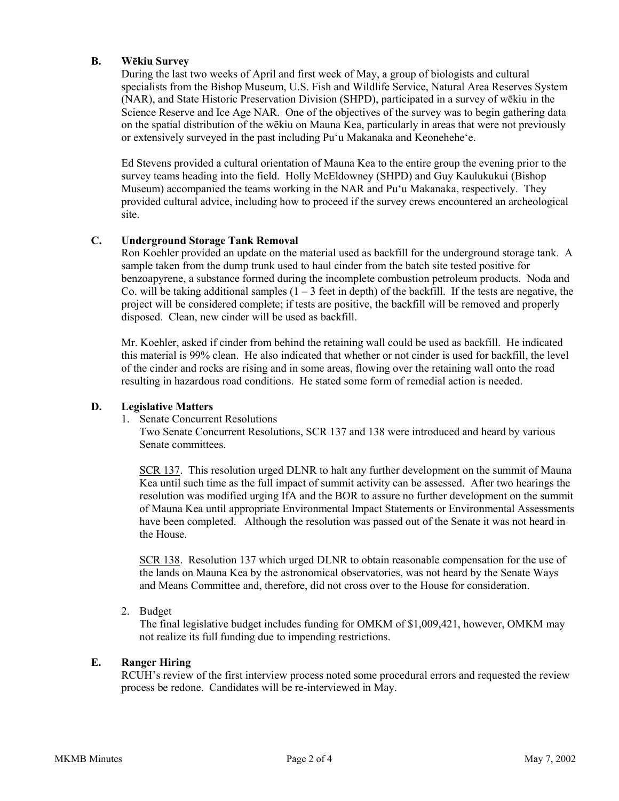# **B. Wēkiu Survey**

 During the last two weeks of April and first week of May, a group of biologists and cultural specialists from the Bishop Museum, U.S. Fish and Wildlife Service, Natural Area Reserves System (NAR), and State Historic Preservation Division (SHPD), participated in a survey of wēkiu in the Science Reserve and Ice Age NAR. One of the objectives of the survey was to begin gathering data on the spatial distribution of the wēkiu on Mauna Kea, particularly in areas that were not previously or extensively surveyed in the past including Pu'u Makanaka and Keonehehe'e.

 Ed Stevens provided a cultural orientation of Mauna Kea to the entire group the evening prior to the survey teams heading into the field. Holly McEldowney (SHPD) and Guy Kaulukukui (Bishop Museum) accompanied the teams working in the NAR and Pu'u Makanaka, respectively. They provided cultural advice, including how to proceed if the survey crews encountered an archeological site.

# **C. Underground Storage Tank Removal**

 Ron Koehler provided an update on the material used as backfill for the underground storage tank. A sample taken from the dump trunk used to haul cinder from the batch site tested positive for benzoapyrene, a substance formed during the incomplete combustion petroleum products. Noda and Co. will be taking additional samples  $(1 – 3$  feet in depth) of the backfill. If the tests are negative, the project will be considered complete; if tests are positive, the backfill will be removed and properly disposed. Clean, new cinder will be used as backfill.

 Mr. Koehler, asked if cinder from behind the retaining wall could be used as backfill. He indicated this material is 99% clean. He also indicated that whether or not cinder is used for backfill, the level of the cinder and rocks are rising and in some areas, flowing over the retaining wall onto the road resulting in hazardous road conditions. He stated some form of remedial action is needed.

## **D. Legislative Matters**

1. Senate Concurrent Resolutions

 Two Senate Concurrent Resolutions, SCR 137 and 138 were introduced and heard by various Senate committees.

SCR 137. This resolution urged DLNR to halt any further development on the summit of Mauna Kea until such time as the full impact of summit activity can be assessed. After two hearings the resolution was modified urging IfA and the BOR to assure no further development on the summit of Mauna Kea until appropriate Environmental Impact Statements or Environmental Assessments have been completed. Although the resolution was passed out of the Senate it was not heard in the House.

SCR 138. Resolution 137 which urged DLNR to obtain reasonable compensation for the use of the lands on Mauna Kea by the astronomical observatories, was not heard by the Senate Ways and Means Committee and, therefore, did not cross over to the House for consideration.

2. Budget

 The final legislative budget includes funding for OMKM of \$1,009,421, however, OMKM may not realize its full funding due to impending restrictions.

## **E. Ranger Hiring**

 RCUH's review of the first interview process noted some procedural errors and requested the review process be redone. Candidates will be re-interviewed in May.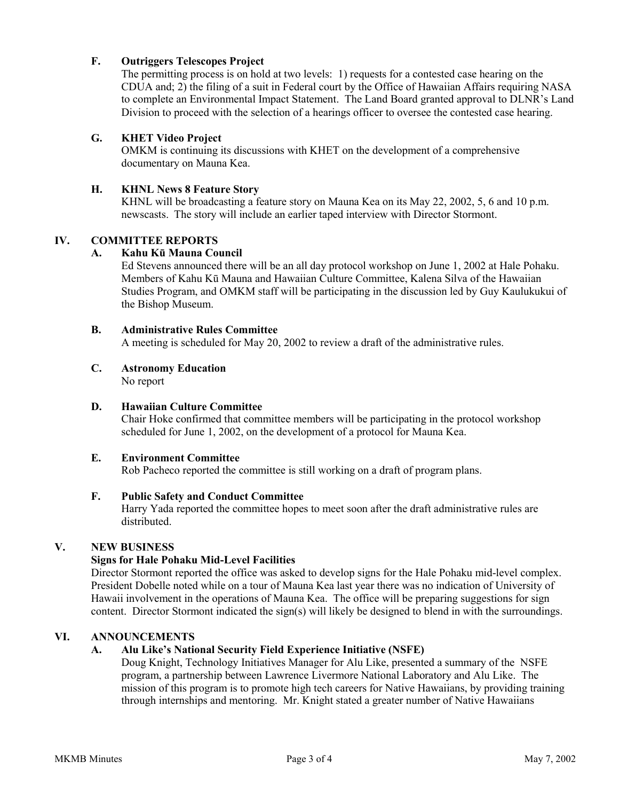# **F. Outriggers Telescopes Project**

 The permitting process is on hold at two levels: 1) requests for a contested case hearing on the CDUA and; 2) the filing of a suit in Federal court by the Office of Hawaiian Affairs requiring NASA to complete an Environmental Impact Statement. The Land Board granted approval to DLNR's Land Division to proceed with the selection of a hearings officer to oversee the contested case hearing.

## **G. KHET Video Project**

 OMKM is continuing its discussions with KHET on the development of a comprehensive documentary on Mauna Kea.

## **H. KHNL News 8 Feature Story**

 KHNL will be broadcasting a feature story on Mauna Kea on its May 22, 2002, 5, 6 and 10 p.m. newscasts. The story will include an earlier taped interview with Director Stormont.

## **IV. COMMITTEE REPORTS**

### **A. Kahu Kū Mauna Council**

Ed Stevens announced there will be an all day protocol workshop on June 1, 2002 at Hale Pohaku. Members of Kahu Kū Mauna and Hawaiian Culture Committee, Kalena Silva of the Hawaiian Studies Program, and OMKM staff will be participating in the discussion led by Guy Kaulukukui of the Bishop Museum.

### **B. Administrative Rules Committee**

A meeting is scheduled for May 20, 2002 to review a draft of the administrative rules.

# **C. Astronomy Education**

No report

### **D. Hawaiian Culture Committee**

Chair Hoke confirmed that committee members will be participating in the protocol workshop scheduled for June 1, 2002, on the development of a protocol for Mauna Kea.

### **E. Environment Committee**

Rob Pacheco reported the committee is still working on a draft of program plans.

# **F. Public Safety and Conduct Committee**

Harry Yada reported the committee hopes to meet soon after the draft administrative rules are distributed.

#### **V. NEW BUSINESS**

## **Signs for Hale Pohaku Mid-Level Facilities**

 Director Stormont reported the office was asked to develop signs for the Hale Pohaku mid-level complex. President Dobelle noted while on a tour of Mauna Kea last year there was no indication of University of Hawaii involvement in the operations of Mauna Kea. The office will be preparing suggestions for sign content. Director Stormont indicated the sign(s) will likely be designed to blend in with the surroundings.

# **VI. ANNOUNCEMENTS**

## **A. Alu Like's National Security Field Experience Initiative (NSFE)**

 Doug Knight, Technology Initiatives Manager for Alu Like, presented a summary of the NSFE program, a partnership between Lawrence Livermore National Laboratory and Alu Like. The mission of this program is to promote high tech careers for Native Hawaiians, by providing training through internships and mentoring. Mr. Knight stated a greater number of Native Hawaiians